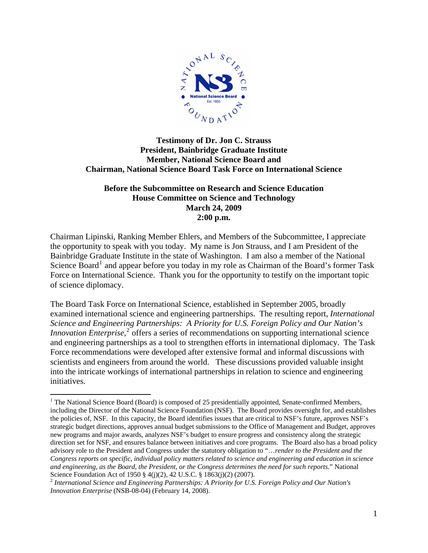

## **Testimony of Dr. Jon C. Strauss President, Bainbridge Graduate Institute Member, National Science Board and Chairman, National Science Board Task Force on International Science**

## **Before the Subcommittee on Research and Science Education House Committee on Science and Technology March 24, 2009 2:00 p.m.**

Chairman Lipinski, Ranking Member Ehlers, and Members of the Subcommittee, I appreciate the opportunity to speak with you today. My name is Jon Strauss, and I am President of the Bainbridge Graduate Institute in the state of Washington. I am also a member of the National Science Board<sup>[1](#page-0-0)</sup> and appear before you today in my role as Chairman of the Board's former Task Force on International Science. Thank you for the opportunity to testify on the important topic of science diplomacy.

The Board Task Force on International Science, established in September 2005, broadly examined international science and engineering partnerships. The resulting report, *International Science and Engineering Partnerships: A Priority for U.S. Foreign Policy and Our Nation's Innovation Enterprise*,<sup>[2](#page-0-1)</sup> offers a series of recommendations on supporting international science and engineering partnerships as a tool to strengthen efforts in international diplomacy. The Task Force recommendations were developed after extensive formal and informal discussions with scientists and engineers from around the world. These discussions provided valuable insight into the intricate workings of international partnerships in relation to science and engineering initiatives.

 $\overline{a}$ 

<span id="page-0-0"></span><sup>&</sup>lt;sup>1</sup> The National Science Board (Board) is composed of 25 presidentially appointed, Senate-confirmed Members, including the Director of the National Science Foundation (NSF). The Board provides oversight for, and establishes the policies of, NSF. In this capacity, the Board identifies issues that are critical to NSF's future, approves NSF's strategic budget directions, approves annual budget submissions to the Office of Management and Budget, approves new programs and major awards, analyzes NSF's budget to ensure progress and consistency along the strategic direction set for NSF, and ensures balance between initiatives and core programs. The Board also has a broad policy advisory role to the President and Congress under the statutory obligation to "…*render to the President and the Congress reports on specific, individual policy matters related to science and engineering and education in science and engineering, as the Board, the President, or the Congress determines the need for such reports*." National Science Foundation Act of 1950 § 4(j)(2), 42 U.S.C. § 1863(j)(2) (2007).

<span id="page-0-1"></span><sup>2</sup> *International Science and Engineering Partnerships: A Priority for U.S. Foreign Policy and Our Nation's Innovation Enterprise* (NSB-08-04) (February 14, 2008).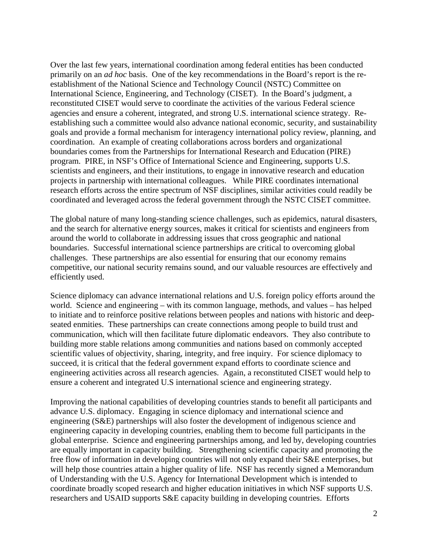Over the last few years, international coordination among federal entities has been conducted primarily on an *ad hoc* basis. One of the key recommendations in the Board's report is the reestablishment of the National Science and Technology Council (NSTC) Committee on International Science, Engineering, and Technology (CISET). In the Board's judgment, a reconstituted CISET would serve to coordinate the activities of the various Federal science agencies and ensure a coherent, integrated, and strong U.S. international science strategy. Reestablishing such a committee would also advance national economic, security, and sustainability goals and provide a formal mechanism for interagency international policy review, planning, and coordination. An example of creating collaborations across borders and organizational boundaries comes from the Partnerships for International Research and Education (PIRE) program. PIRE, in NSF's Office of International Science and Engineering, supports U.S. scientists and engineers, and their institutions, to engage in innovative research and education projects in partnership with international colleagues. While PIRE coordinates international research efforts across the entire spectrum of NSF disciplines, similar activities could readily be coordinated and leveraged across the federal government through the NSTC CISET committee.

The global nature of many long-standing science challenges, such as epidemics, natural disasters, and the search for alternative energy sources, makes it critical for scientists and engineers from around the world to collaborate in addressing issues that cross geographic and national boundaries. Successful international science partnerships are critical to overcoming global challenges. These partnerships are also essential for ensuring that our economy remains competitive, our national security remains sound, and our valuable resources are effectively and efficiently used.

Science diplomacy can advance international relations and U.S. foreign policy efforts around the world. Science and engineering – with its common language, methods, and values – has helped to initiate and to reinforce positive relations between peoples and nations with historic and deepseated enmities. These partnerships can create connections among people to build trust and communication, which will then facilitate future diplomatic endeavors. They also contribute to building more stable relations among communities and nations based on commonly accepted scientific values of objectivity, sharing, integrity, and free inquiry. For science diplomacy to succeed, it is critical that the federal government expand efforts to coordinate science and engineering activities across all research agencies. Again, a reconstituted CISET would help to ensure a coherent and integrated U.S international science and engineering strategy.

Improving the national capabilities of developing countries stands to benefit all participants and advance U.S. diplomacy. Engaging in science diplomacy and international science and engineering (S&E) partnerships will also foster the development of indigenous science and engineering capacity in developing countries, enabling them to become full participants in the global enterprise. Science and engineering partnerships among, and led by, developing countries are equally important in capacity building. Strengthening scientific capacity and promoting the free flow of information in developing countries will not only expand their S&E enterprises, but will help those countries attain a higher quality of life. NSF has recently signed a Memorandum of Understanding with the U.S. Agency for International Development which is intended to coordinate broadly scoped research and higher education initiatives in which NSF supports U.S. researchers and USAID supports S&E capacity building in developing countries. Efforts